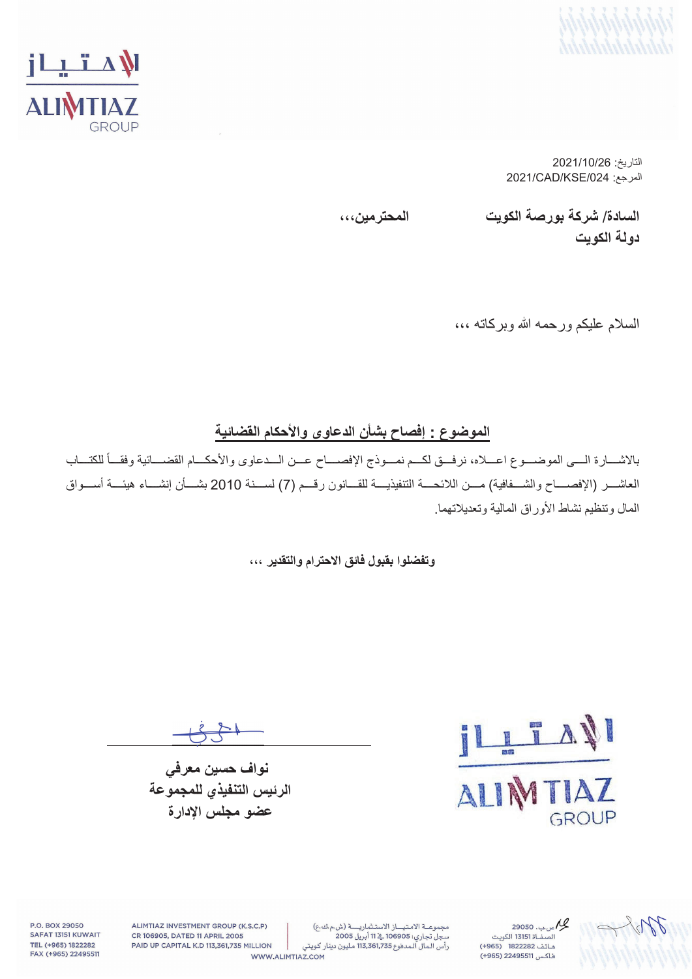



التاريخ: 2021/10/26  $2021$ /CAD/KSE/024 المرجع:

السادة/ شركة بورصة الكويت المحتر مين،،،

دو لـة الكوبت

السلام علیکم و رحمه الله و برکاته ،،،

الموضوع : إفصاح بشأن الدعاوى والأحكام القضائية

بالاشـــارة الـــي الموضـــوع اعـــلاه، نرفــق لكـــم نمـــوذج الإفصــــاح عـــن الـــدعاوي والأحكـــام القضــــائية وفقـــأ للكتـــاب العاشـــر (الإفصــــاح والشـــفافية) مـــن اللائحــــة التنفيذيـــة للقـــانون رقـــم (7) لســـنة 2010 بشـــأن إنشـــاء هيئـــة أســــواق المال وتنظيم نشاط الأوراق المالية وتعديلاتهما.

وت**فضلوا بِفَبِولِ فَ**ائقِ الاحترام والتقديرِ ،،،

ILITANI **ALIMTIAZ** GROUP

29050 من ب. 29050

<mark>ن</mark>واف حسین معرف*ی* الرئيس التنفيذي للمجموعة عضو مجلس الإدارة

مجموعة الامتياز الاستثمارية (ش.م.ك.ع) .<br>سجل تجاري: 106905 <u>به</u> 11 أبريل 2005 رأس المال المدفوع 113,361,735 مليون دينار كويتي هاتف 1822282 (965+) فاكس 22495511 (965+)

ALIMTIAZ INVESTMENT GROUP (K.S.C.P) CR 106905, DATED 11 APRIL 2005 PAID UP CAPITAL K.D 113,361,735 MILLION WWW.ALIMTIAZ.COM

P.O. BOX 29050 SAFAT 13151 KUWAIT TEL (+965) 1822282 FAX (+965) 22495511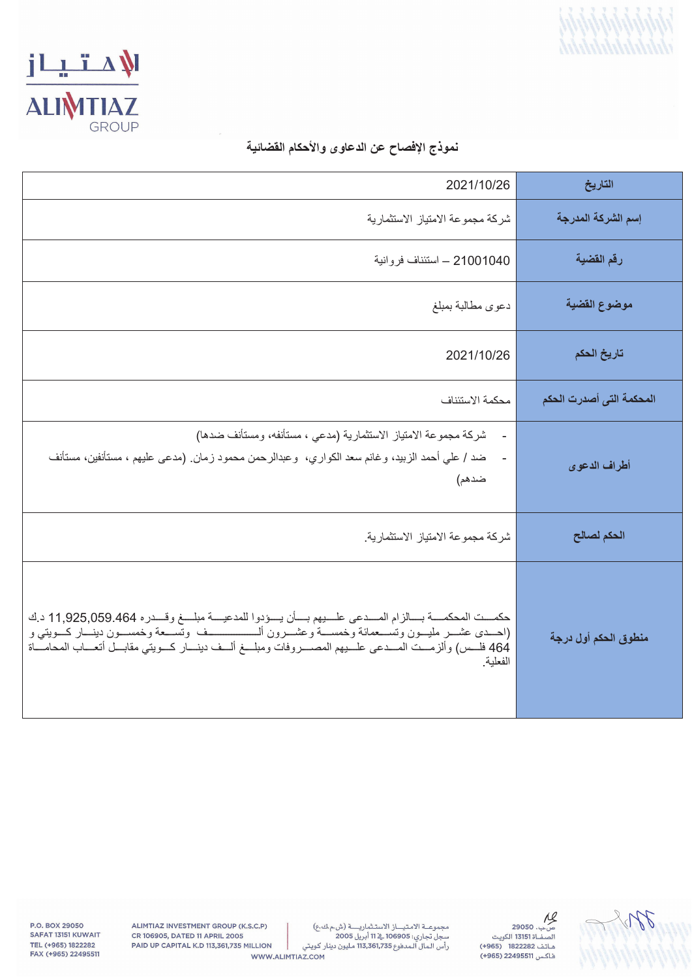



## نموذج الإفصاح عن الدعاوى والأحكام القضائية

| التاريخ                  | 2021/10/26                                                                                                                                                                                                                                                                                                                                                                  |
|--------------------------|-----------------------------------------------------------------------------------------------------------------------------------------------------------------------------------------------------------------------------------------------------------------------------------------------------------------------------------------------------------------------------|
| إسم الشركة المدرجة       | شركة مجموعة الامتياز الاستثمارية                                                                                                                                                                                                                                                                                                                                            |
| رقم القضية               | 21001040 – استئناف فروانية                                                                                                                                                                                                                                                                                                                                                  |
| موضوع القضية             | دعوى مطالبة بمبلغ                                                                                                                                                                                                                                                                                                                                                           |
| تاريخ الحكم              | 2021/10/26                                                                                                                                                                                                                                                                                                                                                                  |
| المحكمة التى أصدرت الحكم | محكمة الاستئناف                                                                                                                                                                                                                                                                                                                                                             |
| أطراف الدعوى             | شركة مجموعة الامتياز الاستثمارية (مدعي ، مستأنفه، ومستأنف ضدها)<br>ضد / علي أحمد الزبيد، وغانم سعد الكواري،  وعبدالرحمن محمود زمان ِ (مدعى عليهم ، مستأنفين، مستأنف<br>ضدهم)                                                                                                                                                                                                |
| الحكم لصالح              | شركة مجموعة الامتياز الاستثمارية                                                                                                                                                                                                                                                                                                                                            |
| منطوق الحكم أول درجة     | حكمـــت المحكمـــة بـــالزام المـــدعى علـــبهم بـــأن يـــؤدوا للمدعيـــة مبلـــغ وقـــدره 11,925,059.464 د.ك<br>(احـــدى عشـــر مليـــون وتســـعمائة وخمســـة وعشـــرون ألــــــــــــــــف وتســـعة وخمســـون دينـــار كـــويتي و<br>464 فلـــس) وألزمـــت المـــدعي علــــبهم المصــــروفات ومبلـــغ ألـــف دينـــار كـــويتي مقابـــل أتعـــاب المحامــــاة<br>الفعلية |

V

كي/<br>ص.ب. 29050<br>الصفــأة 13151 الكويت<br>هـأنف 1822282 (1965+) فاكس 22495511 (965+)

ALIMTIAZ INVESTMENT GROUP (K.S.C.P) CR 106905, DATED 11 APRIL 2005<br>PAID UP CAPITAL K.D 113,361,735 MILLION WWW.ALIMTIAZ.COM

P.O. BOX 29050 SAFAT 13151 KUWAIT TEL (+965) 1822282<br>FAX (+965) 1822282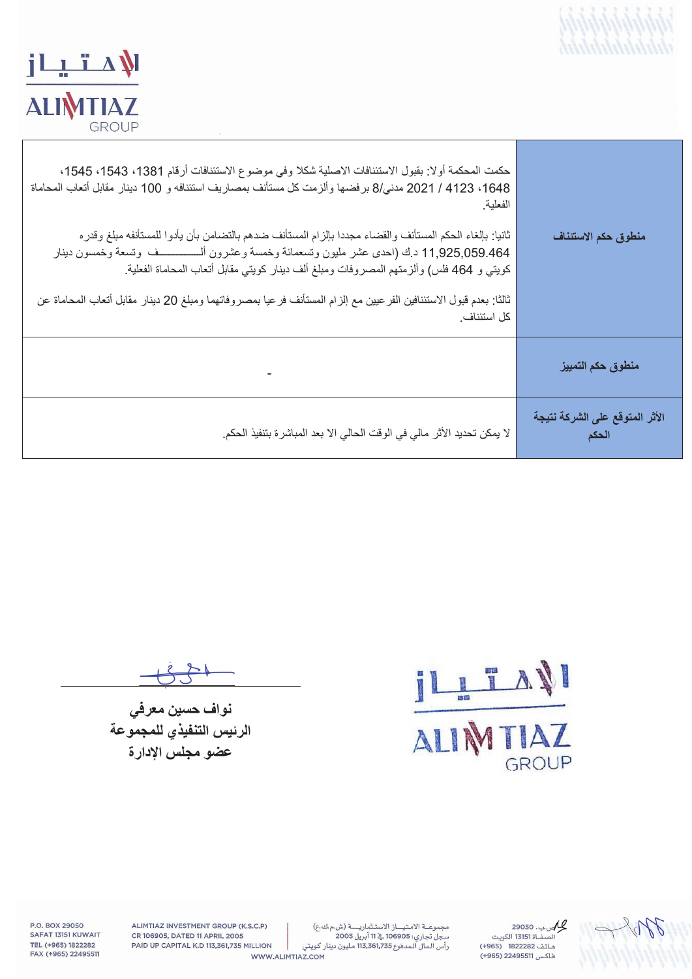



| حكمت المحكمة أولا: بقبول الاستئنافات الاصلية شكلا وفي موضوع الاستئنافات أرقام 1381، 1543، 1545،<br>1648، 2021 / 2021 مدني/8 برفضها وألزمت كل مستأنف بمصاريف استئنافه و 100 دينار مقابل أتعاب المحاماة<br>الفعلية<br>ثانيا: بإلغاء الحكم المستأنف والقضاء مجددا بإلزام المستأنف ضدهم بالتضامن بأن يأدوا للمستأنفه مبلغ وقدره<br>11,925,059.464 د.ك (احدى عشر مليون وتسعمائة وخمسة وعشرون ألــــــــــــف وتسعة وخمسون دينار<br>كويتي و 464 فلس) وألزمتهم المصروفات ومبلغ ألف دينار كويتي مقابل أتعاب المحاماة الفعلية <sub>.</sub><br>ثالثا: بعدم قبول الاستئنافين الفرعيين مع إلزام المستأنف فرعيا بمصروفاتهما ومبلغ 20 دينار مقابل أتعاب المحاماة عن<br>كل استئناف. | منطوق حكم الاستئناف                     |
|----------------------------------------------------------------------------------------------------------------------------------------------------------------------------------------------------------------------------------------------------------------------------------------------------------------------------------------------------------------------------------------------------------------------------------------------------------------------------------------------------------------------------------------------------------------------------------------------------------------------------------------------------------------------|-----------------------------------------|
|                                                                                                                                                                                                                                                                                                                                                                                                                                                                                                                                                                                                                                                                      | منطوق حكم التمييز                       |
| لا يمكن تحديد الأثر مالي في الوقت الحالي الا بعد المباشرة بتنفيذ الحكم.                                                                                                                                                                                                                                                                                                                                                                                                                                                                                                                                                                                              | الأثر المتوقع على الشركة نتيجة<br>الحكم |

ナさ

نواف حسين معرفي الرئيس التنفيذي للمجموعة عضو مجلس الإدارة

P.O. BOX 29050

SAFAT 13151 KUWAIT

TEL (+965) 1822282

FAX (+965) 22495511



ρ

29050 ...  $\mathcal{A}_{2}$ س.ب. -------<br>الصفــاة 13151 الكويت<br>هـاتـف 1822282 (965+) فاكس 22495511 (965+)

ALIMTIAZ INVESTMENT GROUP (K.S.C.P)

WWW.ALIMTIAZ.COM

CR 106905, DATED 11 APRIL 2005 PAID UP CAPITAL K.D 113,361,735 MILLION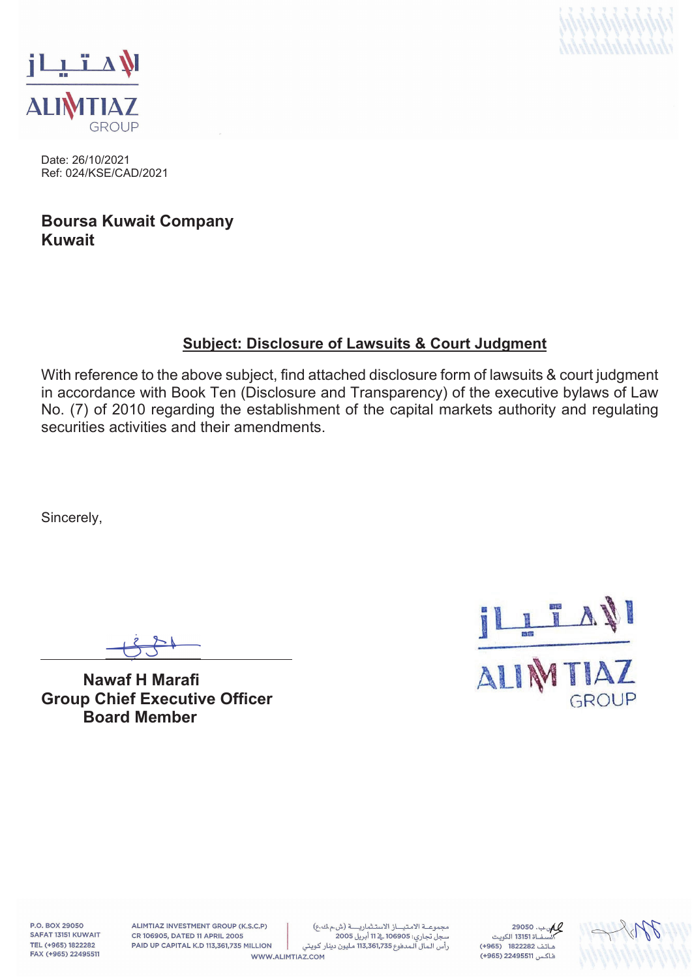



Date: 26/10/2021 Ref: 024/KSE/CAD/2021

### **Boursa Kuwait Company Kuwait**

#### **Subject: Disclosure of Lawsuits & Court Judgment**

With reference to the above subject, find attached disclosure form of lawsuits & court judgment in accordance with Book Ten (Disclosure and Transparency) of the executive bylaws of Law No. (7) of 2010 regarding the establishment of the capital markets authority and regulating securities activities and their amendments.

Sincerely.

**Nawaf H Marafi Group Chief Executive Officer Board Member** 



P.O. BOX 29050 SAFAT 13151 KUWAIT TEL (+965) 1822282 FAX (+965) 22495511

ALIMTIAZ INVESTMENT GROUP (K.S.C.P) CR 106905, DATED 11 APRIL 2005 PAID UP CAPITAL K.D 113,361,735 MILLION

مجموعة الامتياز الاستثمارية (ش.م.ك.ع) سجل تجاري: 106905 ﴾ 11 أبريل 2005 رأس المال المدفوع 113,361,735 مليون دينار كويتي WWW.ALIMTIAZ.COM

 $29050 - AQ$ .<br>لصفــاة 13151 الكويت هاتف 1822282 (965+) فاكس 22495511 (965+)

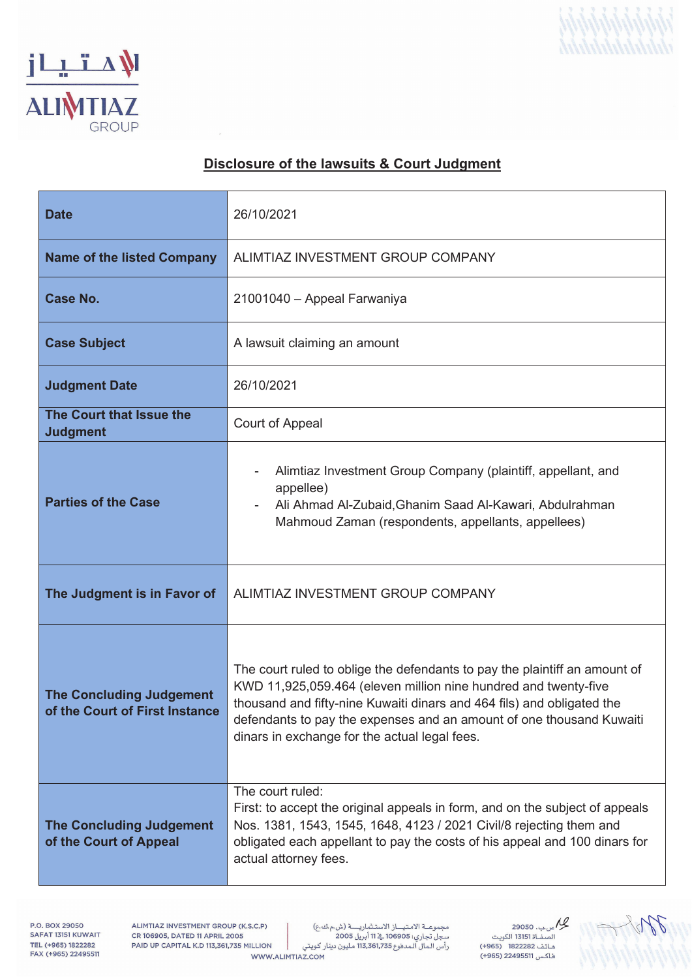



#### Disclosure of the lawsuits & Court Judgment

| <b>Date</b>                                                       | 26/10/2021                                                                                                                                                                                                                                                                                                                                       |
|-------------------------------------------------------------------|--------------------------------------------------------------------------------------------------------------------------------------------------------------------------------------------------------------------------------------------------------------------------------------------------------------------------------------------------|
| <b>Name of the listed Company</b>                                 | ALIMTIAZ INVESTMENT GROUP COMPANY                                                                                                                                                                                                                                                                                                                |
| <b>Case No.</b>                                                   | 21001040 - Appeal Farwaniya                                                                                                                                                                                                                                                                                                                      |
| <b>Case Subject</b>                                               | A lawsuit claiming an amount                                                                                                                                                                                                                                                                                                                     |
| <b>Judgment Date</b>                                              | 26/10/2021                                                                                                                                                                                                                                                                                                                                       |
| The Court that Issue the<br><b>Judgment</b>                       | Court of Appeal                                                                                                                                                                                                                                                                                                                                  |
| <b>Parties of the Case</b>                                        | Alimtiaz Investment Group Company (plaintiff, appellant, and<br>appellee)<br>Ali Ahmad Al-Zubaid, Ghanim Saad Al-Kawari, Abdulrahman<br>Mahmoud Zaman (respondents, appellants, appellees)                                                                                                                                                       |
| The Judgment is in Favor of                                       | ALIMTIAZ INVESTMENT GROUP COMPANY                                                                                                                                                                                                                                                                                                                |
| <b>The Concluding Judgement</b><br>of the Court of First Instance | The court ruled to oblige the defendants to pay the plaintiff an amount of<br>KWD 11,925,059.464 (eleven million nine hundred and twenty-five<br>thousand and fifty-nine Kuwaiti dinars and 464 fils) and obligated the<br>defendants to pay the expenses and an amount of one thousand Kuwaiti<br>dinars in exchange for the actual legal fees. |
| <b>The Concluding Judgement</b><br>of the Court of Appeal         | The court ruled:<br>First: to accept the original appeals in form, and on the subject of appeals<br>Nos. 1381, 1543, 1545, 1648, 4123 / 2021 Civil/8 rejecting them and<br>obligated each appellant to pay the costs of his appeal and 100 dinars for<br>actual attorney fees.                                                                   |

P.O. BOX 29050 SAFAT 13151 KUWAIT TEL (+965) 1822282<br>FAX (+965) 1822282

ALIMTIAZ INVESTMENT GROUP (K.S.C.P) CR 106905, DATED 11 APRIL 2005 PAID UP CAPITAL K.D 113,361,735 MILLION

WWW.ALIMTIAZ.COM

کیا <sub>من ب</sub>. 29050<br>الصفــاۃ 13151 الکویت<br>هــاتف 1822282 (965+)<br>هــاتف 19224952 (965+) فاكس 22495511 (965+)